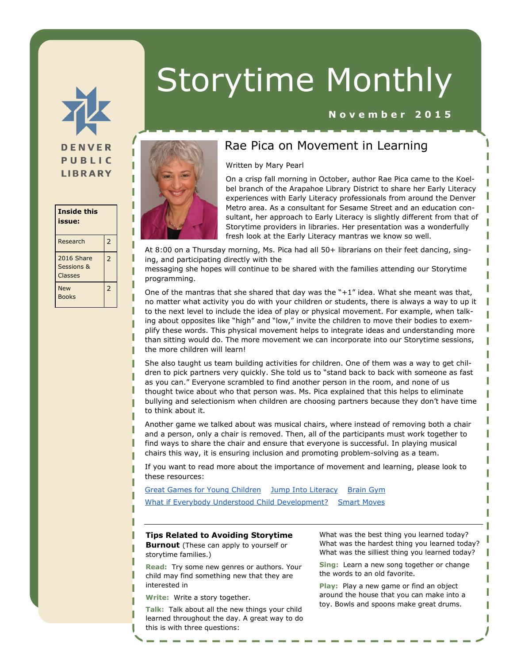

#### **Inside this issue:** Research 2 2016 Share Sessions & Classes 2 New Books 2

# Storytime Monthly

### **N o v e m b e r 2 0 1 5**



## Rae Pica on Movement in Learning

Written by Mary Pearl

On a crisp fall morning in October, author Rae Pica came to the Koelbel branch of the Arapahoe Library District to share her Early Literacy experiences with Early Literacy professionals from around the Denver Metro area. As a consultant for Sesame Street and an education consultant, her approach to Early Literacy is slightly different from that of Storytime providers in libraries. Her presentation was a wonderfully fresh look at the Early Literacy mantras we know so well.

At 8:00 on a Thursday morning, Ms. Pica had all 50+ librarians on their feet dancing, singing, and participating directly with the

messaging she hopes will continue to be shared with the families attending our Storytime programming.

One of the mantras that she shared that day was the  $"+1"$  idea. What she meant was that, no matter what activity you do with your children or students, there is always a way to up it to the next level to include the idea of play or physical movement. For example, when talking about opposites like "high" and "low," invite the children to move their bodies to exemplify these words. This physical movement helps to integrate ideas and understanding more than sitting would do. The more movement we can incorporate into our Storytime sessions, the more children will learn!

She also taught us team building activities for children. One of them was a way to get children to pick partners very quickly. She told us to "stand back to back with someone as fast as you can." Everyone scrambled to find another person in the room, and none of us thought twice about who that person was. Ms. Pica explained that this helps to eliminate bullying and selectionism when children are choosing partners because they don't have time to think about it.

Another game we talked about was musical chairs, where instead of removing both a chair and a person, only a chair is removed. Then, all of the participants must work together to find ways to share the chair and ensure that everyone is successful. In playing musical chairs this way, it is ensuring inclusion and promoting problem-solving as a team.

If you want to read more about the importance of movement and learning, please look to these resources:

[Great Games for Young Children](http://www.amazon.com/Great-Games-Young-Children-Self-Confidence/dp/0876590067)[Jump Into Literacy](http://www.amazon.com/Jump-into-Literacy-Learning-Preschool/dp/0876590091/ref=sr_1_1?s=books&ie=UTF8&qid=1445104653&sr=1-1&keywords=jump+into+literacy)[Brain Gym](http://www.amazon.com/Brain-Gym-Teachers-Paul-Dennison/dp/0942143027/ref=sr_1_3?s=books&ie=UTF8&qid=1445115828&sr=1-3&keywords=smart+moves) [What if Everybody Understood Child Development?](http://www.amazon.com/What-Everybody-Understood-Child-Development/dp/1483381846)[Smart Moves](http://www.amazon.com/Smart-Moves-Learning-Your-Second/dp/0915556278/ref=sr_1_2?s=books&ie=UTF8&qid=1445115828&sr=1-2&keywords=smart+moves)

#### **Tips Related to Avoiding Storytime**

**Burnout** (These can apply to yourself or storytime families.)

**Read:** Try some new genres or authors. Your child may find something new that they are interested in

**Write:** Write a story together.

**Talk:** Talk about all the new things your child learned throughout the day. A great way to do this is with three questions:

What was the best thing you learned today? What was the hardest thing you learned today? What was the silliest thing you learned today?

T

**Sing:** Learn a new song together or change the words to an old favorite.

**Play:** Play a new game or find an object around the house that you can make into a toy. Bowls and spoons make great drums.